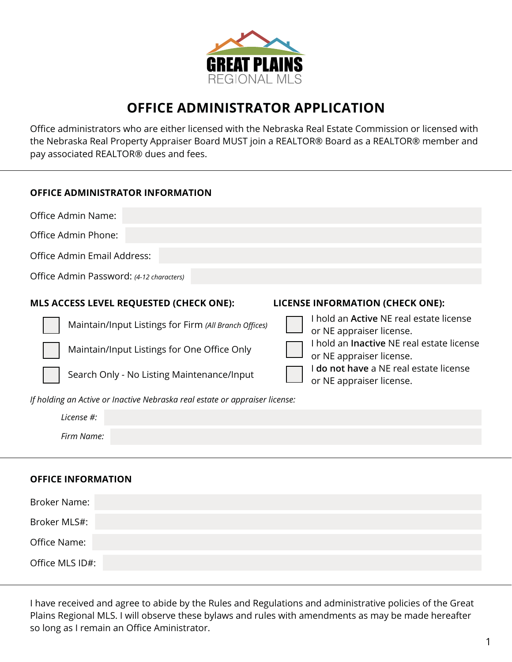

## **OFFICE ADMINISTRATOR APPLICATION**

Office administrators who are either licensed with the Nebraska Real Estate Commission or licensed with the Nebraska Real Property Appraiser Board MUST join a REALTOR® Board as a REALTOR® member and pay associated REALTOR® dues and fees.

| <b>OFFICE ADMINISTRATOR INFORMATION</b>                                     |                                                                              |  |  |  |  |  |
|-----------------------------------------------------------------------------|------------------------------------------------------------------------------|--|--|--|--|--|
| Office Admin Name:                                                          |                                                                              |  |  |  |  |  |
| Office Admin Phone:                                                         |                                                                              |  |  |  |  |  |
| Office Admin Email Address:                                                 |                                                                              |  |  |  |  |  |
| Office Admin Password: (4-12 characters)                                    |                                                                              |  |  |  |  |  |
| MLS ACCESS LEVEL REQUESTED (CHECK ONE):                                     | <b>LICENSE INFORMATION (CHECK ONE):</b>                                      |  |  |  |  |  |
| Maintain/Input Listings for Firm (All Branch Offices)                       | I hold an <b>Active</b> NE real estate license<br>or NE appraiser license.   |  |  |  |  |  |
| Maintain/Input Listings for One Office Only                                 | I hold an <b>Inactive</b> NE real estate license<br>or NE appraiser license. |  |  |  |  |  |
| Search Only - No Listing Maintenance/Input                                  | I do not have a NE real estate license<br>or NE appraiser license.           |  |  |  |  |  |
| If holding an Active or Inactive Nebraska real estate or appraiser license: |                                                                              |  |  |  |  |  |
| license #:                                                                  |                                                                              |  |  |  |  |  |
| Firm Name:                                                                  |                                                                              |  |  |  |  |  |
|                                                                             |                                                                              |  |  |  |  |  |

## **OFFICE INFORMATION**

| Broker Name:    |  |  |
|-----------------|--|--|
| Broker MLS#:    |  |  |
| Office Name:    |  |  |
| Office MLS ID#: |  |  |

I have received and agree to abide by the Rules and Regulations and administrative policies of the Great Plains Regional MLS. I will observe these bylaws and rules with amendments as may be made hereafter so long as I remain an Office Aministrator.